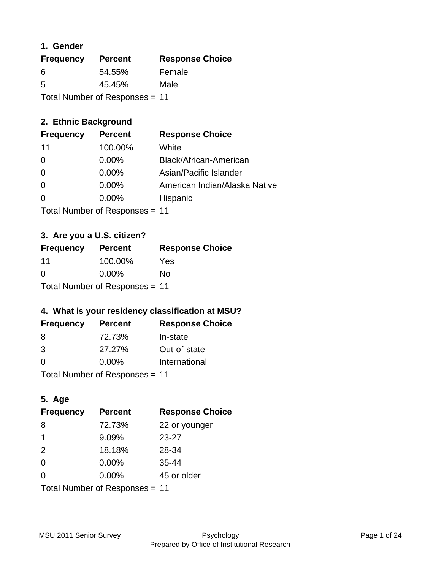### **1. Gender**

| <b>Frequency</b> | <b>Percent</b>                 | <b>Response Choice</b> |
|------------------|--------------------------------|------------------------|
| 6                | 54.55%                         | Female                 |
| 5                | 45.45%                         | Male                   |
|                  | Total Number of Responses = 11 |                        |

### **2. Ethnic Background**

| <b>Frequency</b> | <b>Percent</b> | <b>Response Choice</b>        |
|------------------|----------------|-------------------------------|
| 11               | 100.00%        | White                         |
| 0                | $0.00\%$       | Black/African-American        |
| $\Omega$         | $0.00\%$       | Asian/Pacific Islander        |
| $\Omega$         | $0.00\%$       | American Indian/Alaska Native |
|                  | 0.00%          | Hispanic                      |
|                  |                |                               |

Total Number of Responses = 11

### **3. Are you a U.S. citizen?**

| <b>Frequency</b>               | <b>Percent</b> | <b>Response Choice</b> |
|--------------------------------|----------------|------------------------|
| 11                             | 100.00%        | Yes                    |
| $\Omega$                       | $0.00\%$       | No                     |
| Total Number of Responses = 11 |                |                        |

### **4. What is your residency classification at MSU?**

| <b>Frequency</b> | <b>Percent</b> | <b>Response Choice</b> |
|------------------|----------------|------------------------|
| -8               | 72.73%         | In-state               |
| 3                | 27.27%         | Out-of-state           |
| $\Omega$         | $0.00\%$       | International          |
|                  |                |                        |

Total Number of Responses = 11

### **5. Age**

| <b>Frequency</b>               | <b>Percent</b> | <b>Response Choice</b> |
|--------------------------------|----------------|------------------------|
| 8                              | 72.73%         | 22 or younger          |
| -1                             | 9.09%          | $23 - 27$              |
| 2                              | 18.18%         | 28-34                  |
| $\Omega$                       | $0.00\%$       | $35 - 44$              |
| $\Omega$                       | $0.00\%$       | 45 or older            |
| Total Number of Responses = 11 |                |                        |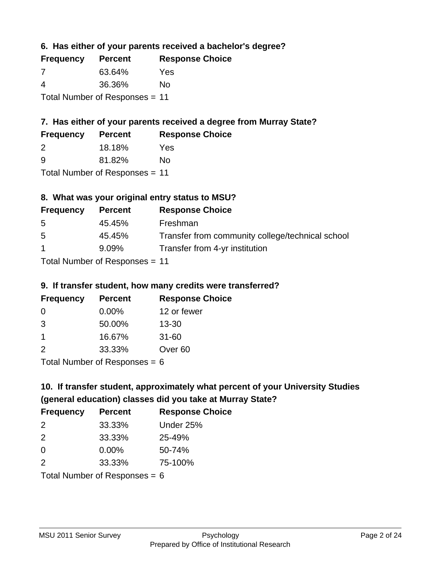**6. Has either of your parents received a bachelor's degree?**

| <b>Frequency</b>               | <b>Percent</b> | <b>Response Choice</b> |
|--------------------------------|----------------|------------------------|
| 7                              | 63.64%         | Yes                    |
| 4                              | 36.36%         | No                     |
| Total Number of Responses = 11 |                |                        |

## **7. Has either of your parents received a degree from Murray State?**

| <b>Frequency</b> | <b>Percent</b> | <b>Response Choice</b> |
|------------------|----------------|------------------------|
| 2                | 18.18%         | Yes                    |
| -9               | 81.82%         | No                     |

Total Number of Responses = 11

### **8. What was your original entry status to MSU?**

| <b>Frequency</b> | <b>Percent</b>                  | <b>Response Choice</b>                           |
|------------------|---------------------------------|--------------------------------------------------|
| 5                | 45.45%                          | Freshman                                         |
| 5                | 45.45%                          | Transfer from community college/technical school |
| $\mathbf{1}$     | $9.09\%$                        | Transfer from 4-yr institution                   |
|                  | $Total Number of Doeponee = 11$ |                                                  |

Total Number of Responses = 11

### **9. If transfer student, how many credits were transferred?**

| <b>Frequency</b> | <b>Percent</b>             | <b>Response Choice</b> |
|------------------|----------------------------|------------------------|
| -0               | $0.00\%$                   | 12 or fewer            |
| -3               | 50.00%                     | $13 - 30$              |
| -1               | 16.67%                     | $31 - 60$              |
| 2                | 33.33%                     | Over <sub>60</sub>     |
|                  | Total Number of Deepersoon |                        |

Total Number of Responses = 6

# **10. If transfer student, approximately what percent of your University Studies (general education) classes did you take at Murray State?**

| <b>Frequency</b> | <b>Percent</b>                  | <b>Response Choice</b> |
|------------------|---------------------------------|------------------------|
| 2                | 33.33%                          | Under 25%              |
| 2                | 33.33%                          | 25-49%                 |
| $\Omega$         | $0.00\%$                        | 50-74%                 |
| 2                | 33.33%                          | 75-100%                |
|                  | Total Number of Responses = $6$ |                        |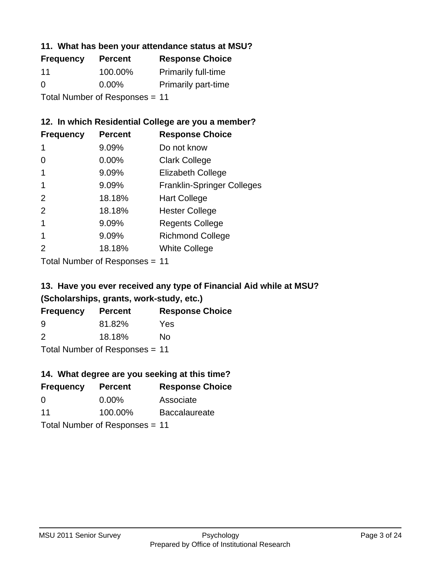### **11. What has been your attendance status at MSU?**

| <b>Frequency</b>               | <b>Percent</b> | <b>Response Choice</b>     |
|--------------------------------|----------------|----------------------------|
| 11                             | 100.00%        | <b>Primarily full-time</b> |
| $\Omega$                       | $0.00\%$       | <b>Primarily part-time</b> |
| Total Number of Responses = 11 |                |                            |

### **12. In which Residential College are you a member?**

| <b>Frequency</b> | <b>Percent</b> | <b>Response Choice</b>            |
|------------------|----------------|-----------------------------------|
| 1                | 9.09%          | Do not know                       |
| 0                | $0.00\%$       | <b>Clark College</b>              |
| 1                | 9.09%          | <b>Elizabeth College</b>          |
|                  | 9.09%          | <b>Franklin-Springer Colleges</b> |
| 2                | 18.18%         | <b>Hart College</b>               |
| 2                | 18.18%         | <b>Hester College</b>             |
|                  | 9.09%          | <b>Regents College</b>            |
|                  | 9.09%          | <b>Richmond College</b>           |
|                  | 18.18%         | <b>White College</b>              |

Total Number of Responses = 11

# **13. Have you ever received any type of Financial Aid while at MSU? (Scholarships, grants, work-study, etc.)**

| <b>Frequency</b>               | <b>Percent</b> | <b>Response Choice</b> |  |
|--------------------------------|----------------|------------------------|--|
| 9                              | 81.82%         | Yes                    |  |
| $\mathcal{P}$                  | 18.18%         | No                     |  |
| Total Number of Responses = 11 |                |                        |  |

# **14. What degree are you seeking at this time?**

| <b>Frequency</b> | <b>Percent</b>                 | <b>Response Choice</b> |
|------------------|--------------------------------|------------------------|
| 0                | $0.00\%$                       | Associate              |
| 11               | 100.00%                        | <b>Baccalaureate</b>   |
|                  | Total Number of Responses = 11 |                        |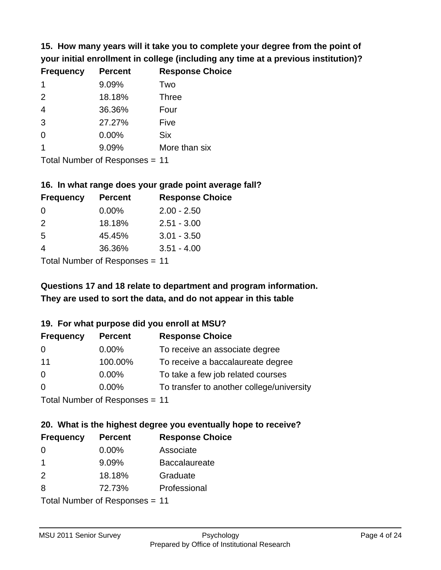**15. How many years will it take you to complete your degree from the point of your initial enrollment in college (including any time at a previous institution)?**

| <b>Frequency</b> | <b>Percent</b> | <b>Response Choice</b> |
|------------------|----------------|------------------------|
| -1               | 9.09%          | Two                    |
| 2                | 18.18%         | <b>Three</b>           |
| $\overline{4}$   | 36.36%         | Four                   |
| 3                | 27.27%         | Five                   |
| 0                | 0.00%          | <b>Six</b>             |
|                  | 9.09%          | More than six          |
|                  |                |                        |

Total Number of Responses = 11

#### **16. In what range does your grade point average fall?**

| <b>Frequency</b> | <b>Percent</b> | <b>Response Choice</b> |
|------------------|----------------|------------------------|
| 0                | $0.00\%$       | $2.00 - 2.50$          |
| $\mathcal{P}$    | 18.18%         | $2.51 - 3.00$          |
| -5               | 45.45%         | $3.01 - 3.50$          |
| 4                | 36.36%         | $3.51 - 4.00$          |
|                  |                |                        |

Total Number of Responses = 11

# **They are used to sort the data, and do not appear in this table Questions 17 and 18 relate to department and program information.**

#### **19. For what purpose did you enroll at MSU?**

| <b>Frequency</b> | <b>Percent</b>                 | <b>Response Choice</b>                    |
|------------------|--------------------------------|-------------------------------------------|
| 0                | $0.00\%$                       | To receive an associate degree            |
| 11               | 100.00%                        | To receive a baccalaureate degree         |
| $\overline{0}$   | $0.00\%$                       | To take a few job related courses         |
| $\Omega$         | $0.00\%$                       | To transfer to another college/university |
|                  | Total Number of Responses = 11 |                                           |

# **20. What is the highest degree you eventually hope to receive?**

| <b>Frequency</b>           | <b>Percent</b> | <b>Response Choice</b> |
|----------------------------|----------------|------------------------|
| 0                          | $0.00\%$       | Associate              |
| $\mathbf 1$                | 9.09%          | <b>Baccalaureate</b>   |
| 2                          | 18.18%         | Graduate               |
| 8                          | 72.73%         | Professional           |
| Tatal Number of Desperance |                |                        |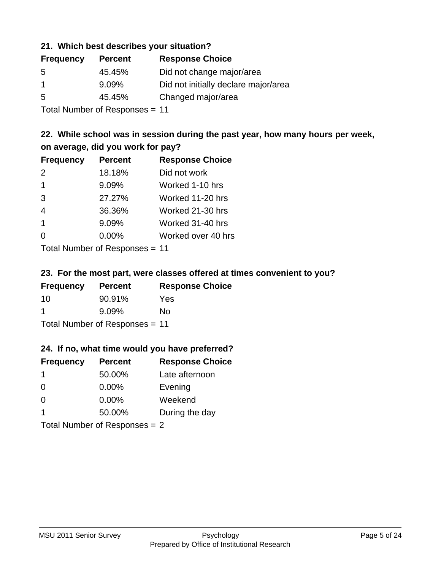#### **21. Which best describes your situation?**

| <b>Frequency</b> | <b>Percent</b> | <b>Response Choice</b>               |
|------------------|----------------|--------------------------------------|
| -5               | 45.45%         | Did not change major/area            |
|                  | $9.09\%$       | Did not initially declare major/area |
| -5               | 45.45%         | Changed major/area                   |
|                  |                |                                      |

Total Number of Responses = 11

### **22. While school was in session during the past year, how many hours per week, on average, did you work for pay?**

| <b>Frequency</b> | <b>Percent</b> | <b>Response Choice</b> |
|------------------|----------------|------------------------|
| 2                | 18.18%         | Did not work           |
| $\overline{1}$   | 9.09%          | Worked 1-10 hrs        |
| 3                | 27.27%         | Worked 11-20 hrs       |
| $\overline{4}$   | 36.36%         | Worked 21-30 hrs       |
| $\overline{1}$   | 9.09%          | Worked 31-40 hrs       |
| $\Omega$         | 0.00%          | Worked over 40 hrs     |
|                  |                |                        |

Total Number of Responses = 11

#### **23. For the most part, were classes offered at times convenient to you?**

| <b>Frequency</b>               | <b>Percent</b> | <b>Response Choice</b> |
|--------------------------------|----------------|------------------------|
| 10                             | 90.91%         | Yes                    |
| -1                             | $9.09\%$       | No.                    |
| Total Number of Responses = 11 |                |                        |

#### **24. If no, what time would you have preferred?**

| <b>Frequency</b>                | <b>Percent</b> | <b>Response Choice</b> |
|---------------------------------|----------------|------------------------|
| -1                              | 50.00%         | Late afternoon         |
| $\Omega$                        | 0.00%          | Evening                |
| $\Omega$                        | $0.00\%$       | Weekend                |
| -1                              | 50.00%         | During the day         |
| Total Number of Responses $= 2$ |                |                        |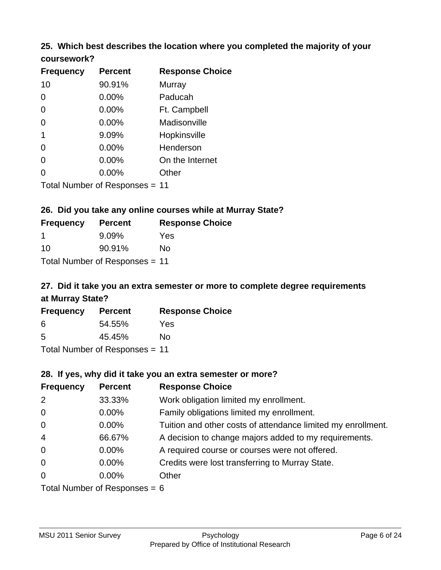# **25. Which best describes the location where you completed the majority of your**

| coursework? |  |
|-------------|--|
|-------------|--|

| <b>Frequency</b> | <b>Percent</b>                 | <b>Response Choice</b> |
|------------------|--------------------------------|------------------------|
| 10               | 90.91%                         | Murray                 |
| 0                | 0.00%                          | Paducah                |
| 0                | 0.00%                          | Ft. Campbell           |
| 0                | 0.00%                          | Madisonville           |
| 1                | 9.09%                          | Hopkinsville           |
| 0                | $0.00\%$                       | Henderson              |
| 0                | 0.00%                          | On the Internet        |
| 0                | 0.00%                          | Other                  |
|                  | Total Number of Responses = 11 |                        |

#### **26. Did you take any online courses while at Murray State?**

| <b>Frequency</b> | <b>Percent</b>                 | <b>Response Choice</b> |
|------------------|--------------------------------|------------------------|
| -1               | $9.09\%$                       | Yes                    |
| .10              | 90.91%                         | No.                    |
|                  | Total Number of Responses = 11 |                        |

# **27. Did it take you an extra semester or more to complete degree requirements at Murray State?**

| <b>Frequency</b>               | <b>Percent</b> | <b>Response Choice</b> |  |  |
|--------------------------------|----------------|------------------------|--|--|
| 6                              | 54.55%         | Yes                    |  |  |
| .5                             | 45.45%         | No                     |  |  |
| Total Number of Responses = 11 |                |                        |  |  |

**28. If yes, why did it take you an extra semester or more?**

| 20. II YES, WITY UIU IL LANG YOU AIT GALLA SCITIGSIGI OF HIOTG! |                                |                                                              |  |  |
|-----------------------------------------------------------------|--------------------------------|--------------------------------------------------------------|--|--|
| <b>Frequency</b>                                                | <b>Percent</b>                 | <b>Response Choice</b>                                       |  |  |
| 2                                                               | 33.33%                         | Work obligation limited my enrollment.                       |  |  |
| $\mathbf 0$                                                     | $0.00\%$                       | Family obligations limited my enrollment.                    |  |  |
| $\mathbf 0$                                                     | $0.00\%$                       | Tuition and other costs of attendance limited my enrollment. |  |  |
| $\overline{4}$                                                  | 66.67%                         | A decision to change majors added to my requirements.        |  |  |
| $\mathbf 0$                                                     | $0.00\%$                       | A required course or courses were not offered.               |  |  |
| $\overline{0}$                                                  | $0.00\%$                       | Credits were lost transferring to Murray State.              |  |  |
| $\overline{0}$                                                  | $0.00\%$                       | Other                                                        |  |  |
|                                                                 | Total Number of Responses $-6$ |                                                              |  |  |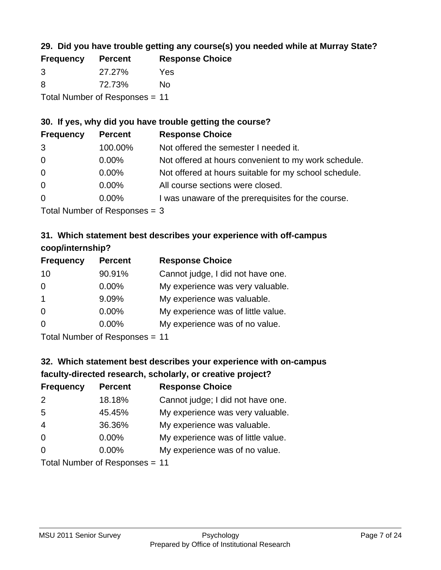### **29. Did you have trouble getting any course(s) you needed while at Murray State?**

| <b>Frequency</b>               | <b>Percent</b> | <b>Response Choice</b> |  |
|--------------------------------|----------------|------------------------|--|
| -3                             | 27.27%         | Yes                    |  |
| -8                             | 72.73%         | N٥                     |  |
| Total Number of Responses = 11 |                |                        |  |

#### **30. If yes, why did you have trouble getting the course?**

| <b>Frequency</b> | <b>Percent</b>               | <b>Response Choice</b>                                |
|------------------|------------------------------|-------------------------------------------------------|
| 3                | 100.00%                      | Not offered the semester I needed it.                 |
| $\overline{0}$   | $0.00\%$                     | Not offered at hours convenient to my work schedule.  |
| $\overline{0}$   | $0.00\%$                     | Not offered at hours suitable for my school schedule. |
| $\overline{0}$   | $0.00\%$                     | All course sections were closed.                      |
| $\overline{0}$   | $0.00\%$                     | I was unaware of the prerequisites for the course.    |
|                  | $\tau$ . The state of $\sim$ |                                                       |

Total Number of Responses = 3

### **31. Which statement best describes your experience with off-campus coop/internship?**

| <b>Frequency</b> | <b>Percent</b>                | <b>Response Choice</b>             |
|------------------|-------------------------------|------------------------------------|
| 10               | 90.91%                        | Cannot judge, I did not have one.  |
| $\Omega$         | $0.00\%$                      | My experience was very valuable.   |
| $\mathbf{1}$     | 9.09%                         | My experience was valuable.        |
| $\Omega$         | $0.00\%$                      | My experience was of little value. |
| $\Omega$         | 0.00%                         | My experience was of no value.     |
|                  | $T$ and Number and Decomposed |                                    |

Total Number of Responses = 11

# **32. Which statement best describes your experience with on-campus faculty-directed research, scholarly, or creative project?**

| <b>Frequency</b> | <b>Percent</b>            | <b>Response Choice</b>             |
|------------------|---------------------------|------------------------------------|
| 2                | 18.18%                    | Cannot judge; I did not have one.  |
| 5                | 45.45%                    | My experience was very valuable.   |
| $\overline{4}$   | 36.36%                    | My experience was valuable.        |
| $\Omega$         | $0.00\%$                  | My experience was of little value. |
| $\Omega$         | 0.00%                     | My experience was of no value.     |
|                  | Total Number of Despanses |                                    |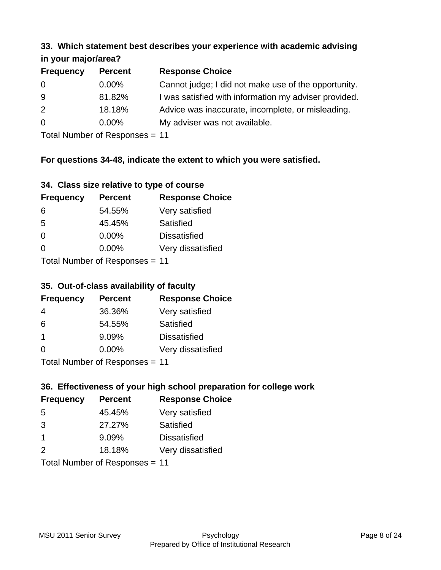#### **33. Which statement best describes your experience with academic advising in your major/area?**

| $\cdots$ your mapping out. |                |                                                       |
|----------------------------|----------------|-------------------------------------------------------|
| <b>Frequency</b>           | <b>Percent</b> | <b>Response Choice</b>                                |
| 0                          | $0.00\%$       | Cannot judge; I did not make use of the opportunity.  |
| 9                          | 81.82%         | I was satisfied with information my adviser provided. |
| 2                          | 18.18%         | Advice was inaccurate, incomplete, or misleading.     |
| $\overline{0}$             | $0.00\%$       | My adviser was not available.                         |
|                            |                |                                                       |

Total Number of Responses = 11

### **For questions 34-48, indicate the extent to which you were satisfied.**

| 34. Class size relative to type of course |  |  |  |  |  |  |  |  |
|-------------------------------------------|--|--|--|--|--|--|--|--|
|-------------------------------------------|--|--|--|--|--|--|--|--|

| <b>Frequency</b>               | <b>Percent</b> | <b>Response Choice</b> |  |  |
|--------------------------------|----------------|------------------------|--|--|
| 6                              | 54.55%         | Very satisfied         |  |  |
| -5                             | 45.45%         | Satisfied              |  |  |
| $\Omega$                       | 0.00%          | <b>Dissatisfied</b>    |  |  |
| $\Omega$                       | $0.00\%$       | Very dissatisfied      |  |  |
| Total Number of Responses - 11 |                |                        |  |  |

Total Number of Responses = 11

### **35. Out-of-class availability of faculty**

| <b>Frequency</b> | <b>Percent</b>            | <b>Response Choice</b> |
|------------------|---------------------------|------------------------|
| 4                | 36.36%                    | Very satisfied         |
| 6                | 54.55%                    | Satisfied              |
| -1               | 9.09%                     | <b>Dissatisfied</b>    |
| $\Omega$         | 0.00%                     | Very dissatisfied      |
|                  | Total Number of Desponses |                        |

Total Number of Responses = 11

### **36. Effectiveness of your high school preparation for college work**

| <b>Frequency</b> | <b>Percent</b>                 | <b>Response Choice</b> |
|------------------|--------------------------------|------------------------|
| -5               | 45.45%                         | Very satisfied         |
| 3                | 27.27%                         | Satisfied              |
| -1               | 9.09%                          | <b>Dissatisfied</b>    |
| 2                | 18.18%                         | Very dissatisfied      |
|                  | Total Number of Responses - 11 |                        |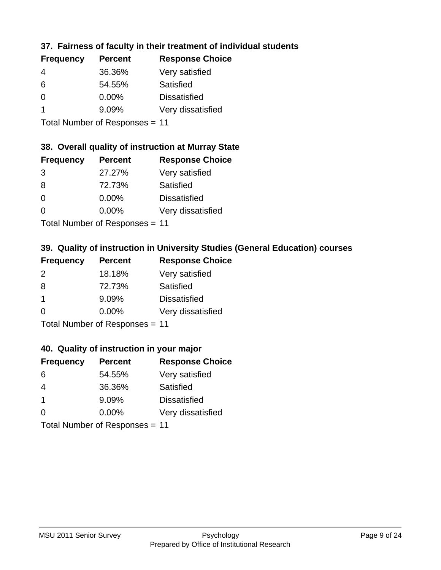### **37. Fairness of faculty in their treatment of individual students**

| <b>Frequency</b> | <b>Percent</b> | <b>Response Choice</b> |
|------------------|----------------|------------------------|
| 4                | 36.36%         | Very satisfied         |
| 6                | 54.55%         | Satisfied              |
| $\Omega$         | $0.00\%$       | <b>Dissatisfied</b>    |
|                  | 9.09%          | Very dissatisfied      |
|                  |                |                        |

Total Number of Responses = 11

#### **38. Overall quality of instruction at Murray State**

| <b>Frequency</b> | <b>Percent</b> | <b>Response Choice</b> |
|------------------|----------------|------------------------|
| 3                | 27.27%         | Very satisfied         |
| 8                | 72.73%         | Satisfied              |
| $\Omega$         | 0.00%          | <b>Dissatisfied</b>    |
| $\Omega$         | 0.00%          | Very dissatisfied      |
|                  |                |                        |

Total Number of Responses = 11

### **39. Quality of instruction in University Studies (General Education) courses**

| <b>Frequency</b> | <b>Percent</b> | <b>Response Choice</b> |
|------------------|----------------|------------------------|
| 2                | 18.18%         | Very satisfied         |
| 8                | 72.73%         | Satisfied              |
| $\overline{1}$   | 9.09%          | <b>Dissatisfied</b>    |
| $\Omega$         | 0.00%          | Very dissatisfied      |
|                  |                |                        |

Total Number of Responses = 11

#### **40. Quality of instruction in your major**

| <b>Frequency</b>                                      | <b>Percent</b> | <b>Response Choice</b> |
|-------------------------------------------------------|----------------|------------------------|
| 6                                                     | 54.55%         | Very satisfied         |
| 4                                                     | 36.36%         | Satisfied              |
| $\mathbf 1$                                           | 9.09%          | <b>Dissatisfied</b>    |
| $\Omega$                                              | 0.00%          | Very dissatisfied      |
| $T$ at all Matters because of $D$ are a second on $T$ |                |                        |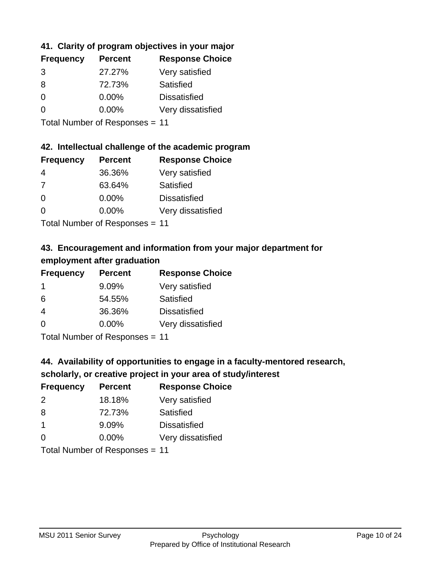### **41. Clarity of program objectives in your major**

| <b>Frequency</b> | <b>Percent</b> | <b>Response Choice</b> |
|------------------|----------------|------------------------|
| 3                | 27.27%         | Very satisfied         |
| 8                | 72.73%         | Satisfied              |
| 0                | $0.00\%$       | <b>Dissatisfied</b>    |
| n                | $0.00\%$       | Very dissatisfied      |
|                  |                |                        |

Total Number of Responses = 11

#### **42. Intellectual challenge of the academic program**

| <b>Frequency</b> | <b>Percent</b> | <b>Response Choice</b> |
|------------------|----------------|------------------------|
| 4                | 36.36%         | Very satisfied         |
| 7                | 63.64%         | Satisfied              |
| $\Omega$         | $0.00\%$       | <b>Dissatisfied</b>    |
| $\Omega$         | 0.00%          | Very dissatisfied      |
|                  |                |                        |

Total Number of Responses = 11

# **43. Encouragement and information from your major department for employment after graduation**

| <b>Frequency</b> | <b>Percent</b>             | <b>Response Choice</b> |
|------------------|----------------------------|------------------------|
| 1                | 9.09%                      | Very satisfied         |
| 6                | 54.55%                     | Satisfied              |
| $\overline{4}$   | 36.36%                     | <b>Dissatisfied</b>    |
| 0                | 0.00%                      | Very dissatisfied      |
|                  | Tatal Number of Desperance |                        |

Total Number of Responses = 11

# **44. Availability of opportunities to engage in a faculty-mentored research,**

### **scholarly, or creative project in your area of study/interest**

| <b>Frequency</b>           | <b>Percent</b> | <b>Response Choice</b> |
|----------------------------|----------------|------------------------|
| 2                          | 18.18%         | Very satisfied         |
| 8                          | 72.73%         | Satisfied              |
|                            | 9.09%          | <b>Dissatisfied</b>    |
| $\Omega$                   | 0.00%          | Very dissatisfied      |
| Tatal Manakan af Dagmanage |                |                        |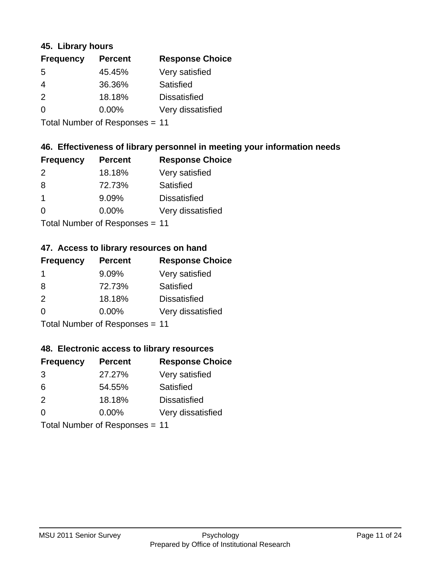#### **45. Library hours**

| <b>Frequency</b> | <b>Percent</b> | <b>Response Choice</b> |
|------------------|----------------|------------------------|
| 5                | 45.45%         | Very satisfied         |
| 4                | 36.36%         | Satisfied              |
| $\mathcal{P}$    | 18.18%         | <b>Dissatisfied</b>    |
| 0                | $0.00\%$       | Very dissatisfied      |
|                  |                |                        |

Total Number of Responses = 11

### **46. Effectiveness of library personnel in meeting your information needs**

| <b>Frequency</b> | <b>Percent</b> | <b>Response Choice</b> |
|------------------|----------------|------------------------|
| $\mathcal{P}$    | 18.18%         | Very satisfied         |
| 8                | 72.73%         | Satisfied              |
|                  | 9.09%          | <b>Dissatisfied</b>    |
| $\Omega$         | 0.00%          | Very dissatisfied      |
|                  |                |                        |

Total Number of Responses = 11

### **47. Access to library resources on hand**

| <b>Frequency</b>           | <b>Percent</b> | <b>Response Choice</b> |
|----------------------------|----------------|------------------------|
| -1                         | 9.09%          | Very satisfied         |
| 8                          | 72.73%         | Satisfied              |
| 2                          | 18.18%         | <b>Dissatisfied</b>    |
| $\Omega$                   | $0.00\%$       | Very dissatisfied      |
| Tatal Number of Desperance |                |                        |

Total Number of Responses = 11

#### **48. Electronic access to library resources**

| <b>Frequency</b> | <b>Percent</b>            | <b>Response Choice</b> |
|------------------|---------------------------|------------------------|
| 3                | 27.27%                    | Very satisfied         |
| 6                | 54.55%                    | Satisfied              |
| 2                | 18.18%                    | <b>Dissatisfied</b>    |
| $\Omega$         | $0.00\%$                  | Very dissatisfied      |
|                  | Total Number of Deepersee |                        |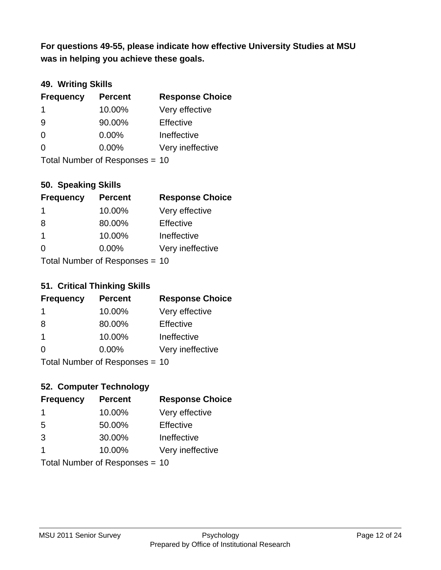**was in helping you achieve these goals. For questions 49-55, please indicate how effective University Studies at MSU** 

### **49. Writing Skills**

| <b>Frequency</b> | <b>Percent</b>                 | <b>Response Choice</b> |
|------------------|--------------------------------|------------------------|
| $\mathbf 1$      | 10.00%                         | Very effective         |
| 9                | 90.00%                         | Effective              |
| $\Omega$         | $0.00\%$                       | Ineffective            |
| $\Omega$         | $0.00\%$                       | Very ineffective       |
|                  | Total Number of Responses = 10 |                        |

#### **50. Speaking Skills**

| <b>Frequency</b> | <b>Percent</b>                 | <b>Response Choice</b> |
|------------------|--------------------------------|------------------------|
| -1               | 10.00%                         | Very effective         |
| 8                | 80.00%                         | Effective              |
| $\overline{1}$   | 10.00%                         | Ineffective            |
| $\Omega$         | $0.00\%$                       | Very ineffective       |
|                  | Total Number of Reconnege - 10 |                        |

Total Number of Responses = 10

#### **51. Critical Thinking Skills**

| <b>Frequency</b> | <b>Percent</b>                  | <b>Response Choice</b> |
|------------------|---------------------------------|------------------------|
| $\mathbf 1$      | 10.00%                          | Very effective         |
| 8                | 80.00%                          | Effective              |
| -1               | 10.00%                          | Ineffective            |
| $\Omega$         | 0.00%                           | Very ineffective       |
|                  | $Total Number of Denonose = 10$ |                        |

Total Number of Responses = 10

### **52. Computer Technology**

| <b>Frequency</b>               | <b>Percent</b> | <b>Response Choice</b> |
|--------------------------------|----------------|------------------------|
| -1                             | 10.00%         | Very effective         |
| 5                              | 50.00%         | Effective              |
| 3                              | 30.00%         | Ineffective            |
| -1                             | 10.00%         | Very ineffective       |
| Total Number of Responses = 10 |                |                        |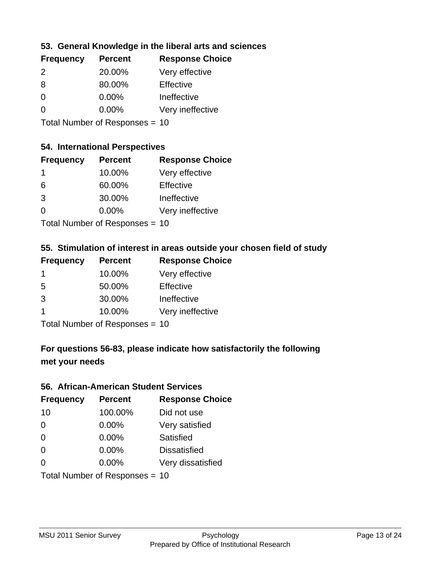### **53. General Knowledge in the liberal arts and sciences**

| <b>Frequency</b> | <b>Percent</b> | <b>Response Choice</b> |
|------------------|----------------|------------------------|
| $\mathcal{P}$    | 20.00%         | Very effective         |
| 8                | 80.00%         | Effective              |
| $\Omega$         | 0.00%          | Ineffective            |
| $\Omega$         | 0.00%          | Very ineffective       |
|                  |                |                        |

Total Number of Responses = 10

#### **54. International Perspectives**

| <b>Frequency</b> | <b>Percent</b> | <b>Response Choice</b> |
|------------------|----------------|------------------------|
| -1               | 10.00%         | Very effective         |
| 6                | 60.00%         | Effective              |
| 3                | 30.00%         | Ineffective            |
| 0                | 0.00%          | Very ineffective       |
|                  |                |                        |

Total Number of Responses = 10

### **55. Stimulation of interest in areas outside your chosen field of study**

| <b>Frequency</b>          | <b>Percent</b> | <b>Response Choice</b> |
|---------------------------|----------------|------------------------|
|                           | 10.00%         | Very effective         |
| 5                         | 50.00%         | Effective              |
| 3                         | 30.00%         | Ineffective            |
|                           | 10.00%         | Very ineffective       |
| Total Number of DoEROR 0. |                |                        |

Total Number of Responses = 10

## **For questions 56-83, please indicate how satisfactorily the following met your needs**

#### **56. African-American Student Services**

| <b>Frequency</b> | <b>Percent</b>                 | <b>Response Choice</b> |
|------------------|--------------------------------|------------------------|
| 10               | 100.00%                        | Did not use            |
| $\Omega$         | 0.00%                          | Very satisfied         |
| $\Omega$         | 0.00%                          | Satisfied              |
| $\Omega$         | $0.00\%$                       | <b>Dissatisfied</b>    |
| $\Omega$         | 0.00%                          | Very dissatisfied      |
|                  | Total Number of Responses = 10 |                        |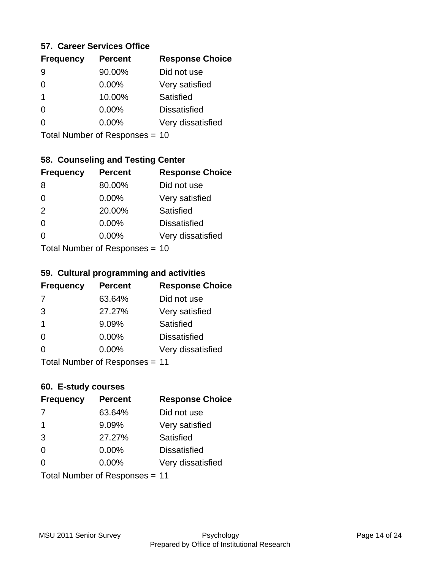#### **57. Career Services Office**

| <b>Frequency</b> | <b>Percent</b> | <b>Response Choice</b> |
|------------------|----------------|------------------------|
|                  | 90.00%         | Did not use            |
|                  | $0.00\%$       | Very satisfied         |
| 1                | 10.00%         | Satisfied              |
|                  | $0.00\%$       | <b>Dissatisfied</b>    |
|                  | $0.00\%$       | Very dissatisfied      |
|                  |                |                        |

Total Number of Responses = 10

### **58. Counseling and Testing Center**

| <b>Frequency</b> | <b>Percent</b>            | <b>Response Choice</b> |
|------------------|---------------------------|------------------------|
| 8                | 80.00%                    | Did not use            |
| $\Omega$         | 0.00%                     | Very satisfied         |
| 2                | 20.00%                    | <b>Satisfied</b>       |
| $\Omega$         | 0.00%                     | <b>Dissatisfied</b>    |
| 0                | 0.00%                     | Very dissatisfied      |
|                  | Total Number of Desponses |                        |

Total Number of Responses = 10

#### **59. Cultural programming and activities**

| <b>Frequency</b> | <b>Percent</b>                 | <b>Response Choice</b> |
|------------------|--------------------------------|------------------------|
| 7                | 63.64%                         | Did not use            |
| 3                | 27.27%                         | Very satisfied         |
| -1               | 9.09%                          | Satisfied              |
| $\Omega$         | $0.00\%$                       | <b>Dissatisfied</b>    |
| $\Omega$         | $0.00\%$                       | Very dissatisfied      |
|                  | Total Number of Responses = 11 |                        |

#### **60. E-study courses**

| <b>Frequency</b> | <b>Percent</b>                 | <b>Response Choice</b> |
|------------------|--------------------------------|------------------------|
| 7                | 63.64%                         | Did not use            |
| -1               | 9.09%                          | Very satisfied         |
| 3                | 27.27%                         | Satisfied              |
| $\Omega$         | 0.00%                          | <b>Dissatisfied</b>    |
| ∩                | $0.00\%$                       | Very dissatisfied      |
|                  | Total Number of Responses = 11 |                        |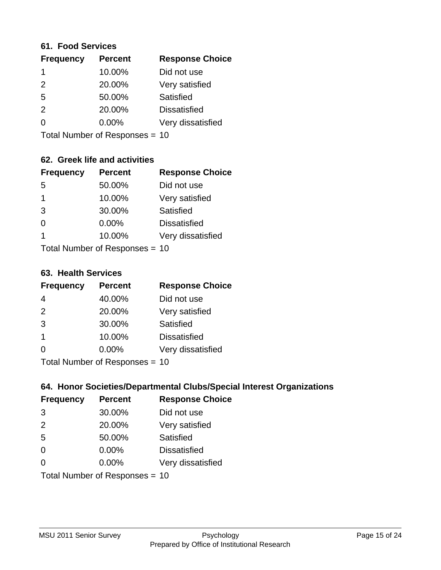#### **61. Food Services**

| <b>Frequency</b> | <b>Percent</b> | <b>Response Choice</b> |
|------------------|----------------|------------------------|
|                  | 10.00%         | Did not use            |
| $\mathcal{P}$    | 20.00%         | Very satisfied         |
| 5                | 50.00%         | Satisfied              |
| $\mathcal{P}$    | 20.00%         | <b>Dissatisfied</b>    |
| ∩                | 0.00%          | Very dissatisfied      |
|                  |                |                        |

Total Number of Responses = 10

### **62. Greek life and activities**

| <b>Frequency</b> | <b>Percent</b>                 | <b>Response Choice</b> |
|------------------|--------------------------------|------------------------|
| 5                | 50.00%                         | Did not use            |
| 1                | 10.00%                         | Very satisfied         |
| 3                | 30.00%                         | Satisfied              |
| 0                | 0.00%                          | <b>Dissatisfied</b>    |
| 1                | 10.00%                         | Very dissatisfied      |
|                  | Total Number of Responses = 10 |                        |

**63. Health Services**

| <b>Frequency</b> | <b>Percent</b>             | <b>Response Choice</b> |
|------------------|----------------------------|------------------------|
| 4                | 40.00%                     | Did not use            |
| 2                | 20.00%                     | Very satisfied         |
| 3                | 30.00%                     | Satisfied              |
| $\overline{1}$   | 10.00%                     | <b>Dissatisfied</b>    |
| $\Omega$         | 0.00%                      | Very dissatisfied      |
|                  | Total Number of Deepersoon |                        |

Total Number of Responses = 10

### **64. Honor Societies/Departmental Clubs/Special Interest Organizations**

| <b>Frequency</b> | <b>Percent</b>                 | <b>Response Choice</b> |
|------------------|--------------------------------|------------------------|
| 3                | 30.00%                         | Did not use            |
| 2                | 20.00%                         | Very satisfied         |
| 5                | 50.00%                         | Satisfied              |
| $\Omega$         | $0.00\%$                       | <b>Dissatisfied</b>    |
| $\Omega$         | 0.00%                          | Very dissatisfied      |
|                  | Total Number of Responses = 10 |                        |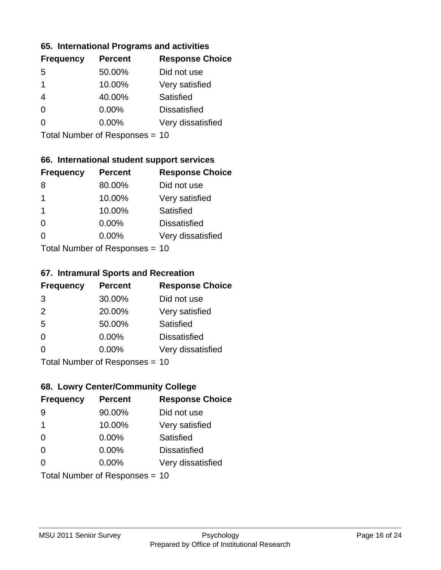#### **65. International Programs and activities**

| <b>Frequency</b> | <b>Percent</b> | <b>Response Choice</b> |
|------------------|----------------|------------------------|
| .5               | 50.00%         | Did not use            |
| 1                | 10.00%         | Very satisfied         |
|                  | 40.00%         | Satisfied              |
| O                | $0.00\%$       | <b>Dissatisfied</b>    |
|                  | $0.00\%$       | Very dissatisfied      |
|                  |                |                        |

Total Number of Responses = 10

### **66. International student support services**

| <b>Frequency</b> | <b>Percent</b>            | <b>Response Choice</b> |
|------------------|---------------------------|------------------------|
| 8                | 80.00%                    | Did not use            |
| 1                | 10.00%                    | Very satisfied         |
| $\mathbf 1$      | 10.00%                    | <b>Satisfied</b>       |
| $\Omega$         | 0.00%                     | <b>Dissatisfied</b>    |
| $\Omega$         | 0.00%                     | Very dissatisfied      |
|                  | Total Number of Desponses |                        |

Total Number of Responses = 10

#### **67. Intramural Sports and Recreation**

| <b>Frequency</b> | <b>Percent</b>                  | <b>Response Choice</b> |
|------------------|---------------------------------|------------------------|
| 3                | 30.00%                          | Did not use            |
| 2                | 20.00%                          | Very satisfied         |
| 5                | 50.00%                          | Satisfied              |
| $\Omega$         | 0.00%                           | <b>Dissatisfied</b>    |
| $\Omega$         | 0.00%                           | Very dissatisfied      |
|                  | $Total Number of Denonose = 10$ |                        |

Total Number of Responses = 10

### **68. Lowry Center/Community College**

| <b>Frequency</b> | <b>Percent</b>                 | <b>Response Choice</b> |
|------------------|--------------------------------|------------------------|
| 9                | 90.00%                         | Did not use            |
| 1                | 10.00%                         | Very satisfied         |
| 0                | 0.00%                          | Satisfied              |
| $\Omega$         | 0.00%                          | <b>Dissatisfied</b>    |
| 0                | $0.00\%$                       | Very dissatisfied      |
|                  | Total Number of Responses = 10 |                        |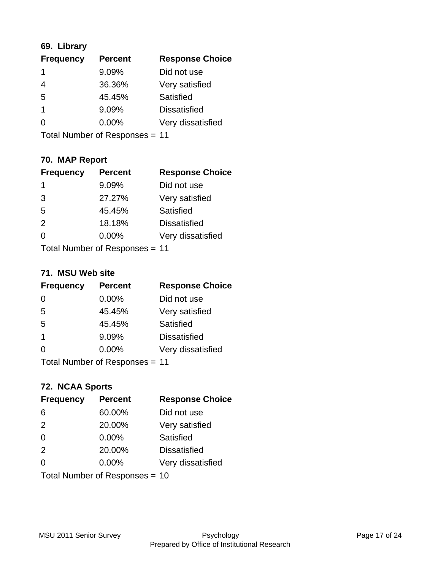### **69. Library**

| <b>Frequency</b> | <b>Percent</b> | <b>Response Choice</b> |
|------------------|----------------|------------------------|
| 1                | 9.09%          | Did not use            |
| 4                | 36.36%         | Very satisfied         |
| 5                | 45.45%         | Satisfied              |
| 1                | 9.09%          | <b>Dissatisfied</b>    |
| ∩                | 0.00%          | Very dissatisfied      |
|                  |                |                        |

Total Number of Responses = 11

# **70. MAP Report**

| <b>Frequency</b> | <b>Percent</b>                 | <b>Response Choice</b> |
|------------------|--------------------------------|------------------------|
| 1                | 9.09%                          | Did not use            |
| 3                | 27.27%                         | Very satisfied         |
| 5                | 45.45%                         | Satisfied              |
| 2                | 18.18%                         | <b>Dissatisfied</b>    |
| ∩                | $0.00\%$                       | Very dissatisfied      |
|                  | Total Number of Responses = 11 |                        |

#### **71. MSU Web site**

| <b>Frequency</b> | <b>Percent</b>                 | <b>Response Choice</b> |
|------------------|--------------------------------|------------------------|
| $\Omega$         | $0.00\%$                       | Did not use            |
| 5                | 45.45%                         | Very satisfied         |
| 5                | 45.45%                         | Satisfied              |
| -1               | 9.09%                          | <b>Dissatisfied</b>    |
| ∩                | 0.00%                          | Very dissatisfied      |
|                  | Total Number of Responses = 11 |                        |

# **72. NCAA Sports**

| <b>Frequency</b> | <b>Percent</b>                 | <b>Response Choice</b> |
|------------------|--------------------------------|------------------------|
| 6                | 60.00%                         | Did not use            |
| 2                | 20.00%                         | Very satisfied         |
| $\Omega$         | 0.00%                          | Satisfied              |
| 2                | 20.00%                         | <b>Dissatisfied</b>    |
| $\Omega$         | 0.00%                          | Very dissatisfied      |
|                  | Total Number of Responses = 10 |                        |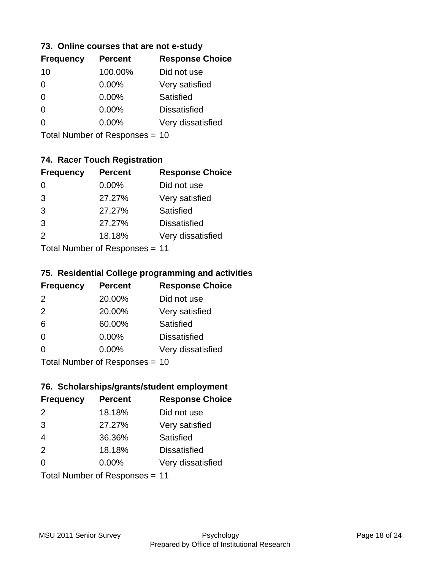### **73. Online courses that are not e-study**

| <b>Frequency</b> | <b>Percent</b> | <b>Response Choice</b> |
|------------------|----------------|------------------------|
| 10               | 100.00%        | Did not use            |
| 0                | $0.00\%$       | Very satisfied         |
| 0                | $0.00\%$       | Satisfied              |
| 0                | $0.00\%$       | <b>Dissatisfied</b>    |
|                  | $0.00\%$       | Very dissatisfied      |
|                  |                |                        |

Total Number of Responses = 10

### **74. Racer Touch Registration**

| <b>Frequency</b> | <b>Percent</b>            | <b>Response Choice</b> |
|------------------|---------------------------|------------------------|
| 0                | $0.00\%$                  | Did not use            |
| 3                | 27.27%                    | Very satisfied         |
| 3                | 27.27%                    | Satisfied              |
| 3                | 27.27%                    | <b>Dissatisfied</b>    |
| $\mathcal{P}$    | 18.18%                    | Very dissatisfied      |
|                  | Total Number of Doopenoon |                        |

Total Number of Responses = 11

### **75. Residential College programming and activities**

| <b>Frequency</b> | <b>Percent</b>                  | <b>Response Choice</b> |
|------------------|---------------------------------|------------------------|
| 2                | 20.00%                          | Did not use            |
| 2                | 20.00%                          | Very satisfied         |
| 6                | 60.00%                          | Satisfied              |
| $\Omega$         | 0.00%                           | <b>Dissatisfied</b>    |
| $\Omega$         | 0.00%                           | Very dissatisfied      |
|                  | $Total Number of Denonose = 10$ |                        |

Total Number of Responses = 10

### **76. Scholarships/grants/student employment**

| <b>Frequency</b> | <b>Percent</b>                 | <b>Response Choice</b> |
|------------------|--------------------------------|------------------------|
| 2                | 18.18%                         | Did not use            |
| 3                | 27.27%                         | Very satisfied         |
| $\overline{4}$   | 36.36%                         | Satisfied              |
| 2                | 18.18%                         | <b>Dissatisfied</b>    |
| $\Omega$         | 0.00%                          | Very dissatisfied      |
|                  | Total Number of Responses = 11 |                        |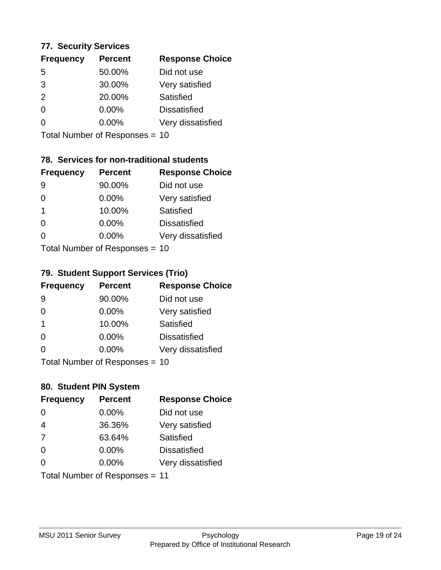#### **77. Security Services**

| <b>Frequency</b> | <b>Percent</b> | <b>Response Choice</b> |
|------------------|----------------|------------------------|
| 5                | 50.00%         | Did not use            |
| 3                | 30.00%         | Very satisfied         |
| $\mathcal{P}$    | 20.00%         | Satisfied              |
| $\Omega$         | $0.00\%$       | <b>Dissatisfied</b>    |
| ∩                | $0.00\%$       | Very dissatisfied      |
|                  |                |                        |

Total Number of Responses = 10

### **78. Services for non-traditional students**

| <b>Frequency</b>          | <b>Percent</b> | <b>Response Choice</b> |
|---------------------------|----------------|------------------------|
| 9                         | 90.00%         | Did not use            |
| 0                         | 0.00%          | Very satisfied         |
| 1                         | 10.00%         | Satisfied              |
| 0                         | 0.00%          | <b>Dissatisfied</b>    |
| O                         | 0.00%          | Very dissatisfied      |
| Total Number of Desponses |                |                        |

Total Number of Responses = 10

#### **79. Student Support Services (Trio)**

| <b>Frequency</b> | <b>Percent</b>                  | <b>Response Choice</b> |
|------------------|---------------------------------|------------------------|
| -9               | 90.00%                          | Did not use            |
| $\Omega$         | $0.00\%$                        | Very satisfied         |
| $\mathbf 1$      | 10.00%                          | <b>Satisfied</b>       |
| $\Omega$         | $0.00\%$                        | <b>Dissatisfied</b>    |
| $\Omega$         | $0.00\%$                        | Very dissatisfied      |
|                  | $Total Number of Denonose = 10$ |                        |

Total Number of Responses = 10

### **80. Student PIN System**

| <b>Frequency</b> | <b>Percent</b>                 | <b>Response Choice</b> |
|------------------|--------------------------------|------------------------|
| $\Omega$         | 0.00%                          | Did not use            |
| $\overline{4}$   | 36.36%                         | Very satisfied         |
| 7                | 63.64%                         | Satisfied              |
| $\Omega$         | 0.00%                          | <b>Dissatisfied</b>    |
| $\Omega$         | $0.00\%$                       | Very dissatisfied      |
|                  | Total Number of Responses = 11 |                        |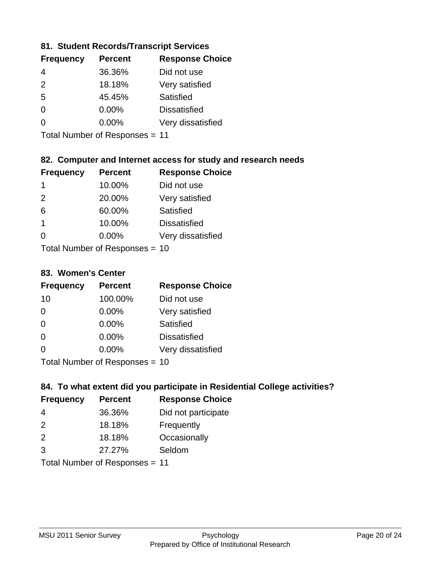### **81. Student Records/Transcript Services**

| <b>Frequency</b> | <b>Percent</b> | <b>Response Choice</b> |
|------------------|----------------|------------------------|
| 4                | 36.36%         | Did not use            |
| $\mathcal{P}$    | 18.18%         | Very satisfied         |
| 5                | 45.45%         | Satisfied              |
| ∩                | 0.00%          | <b>Dissatisfied</b>    |
| ∩                | $0.00\%$       | Very dissatisfied      |

Total Number of Responses = 11

### **82. Computer and Internet access for study and research needs**

| <b>Frequency</b> | <b>Percent</b>            | <b>Response Choice</b> |
|------------------|---------------------------|------------------------|
| 1                | 10.00%                    | Did not use            |
| 2                | 20.00%                    | Very satisfied         |
| 6                | 60.00%                    | Satisfied              |
| -1               | 10.00%                    | <b>Dissatisfied</b>    |
| 0                | 0.00%                     | Very dissatisfied      |
|                  | Total Number of Desponses |                        |

Total Number of Responses = 10

#### **83. Women's Center**

| <b>Frequency</b> | <b>Percent</b>            | <b>Response Choice</b> |
|------------------|---------------------------|------------------------|
| 10               | 100.00%                   | Did not use            |
| $\Omega$         | 0.00%                     | Very satisfied         |
| $\Omega$         | $0.00\%$                  | Satisfied              |
| $\Omega$         | 0.00%                     | <b>Dissatisfied</b>    |
| $\Omega$         | $0.00\%$                  | Very dissatisfied      |
|                  | Total Number of Deepersee |                        |

Total Number of Responses = 10

### **84. To what extent did you participate in Residential College activities?**

| <b>Frequency</b> | <b>Percent</b> | <b>Response Choice</b> |
|------------------|----------------|------------------------|
| 4                | 36.36%         | Did not participate    |
| $\mathcal{P}$    | 18.18%         | Frequently             |
| 2                | 18.18%         | Occasionally           |
| 3                | 27.27%         | Seldom                 |
|                  |                |                        |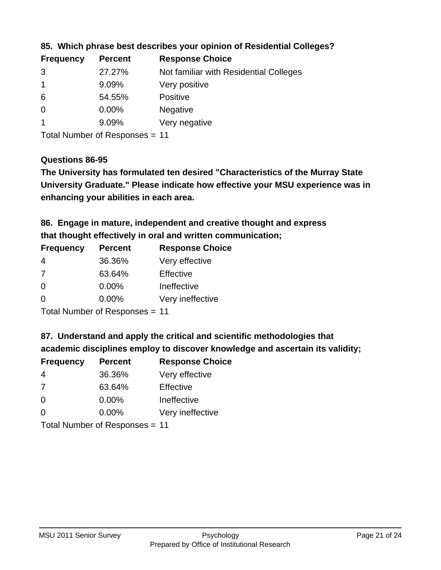| <b>Frequency</b> | <b>Percent</b> | <b>Response Choice</b>                 |
|------------------|----------------|----------------------------------------|
| 3                | 27.27%         | Not familiar with Residential Colleges |
|                  | 9.09%          | Very positive                          |
| 6                | 54.55%         | <b>Positive</b>                        |
| 0                | $0.00\%$       | <b>Negative</b>                        |
|                  | 9.09%          | Very negative                          |

**85. Which phrase best describes your opinion of Residential Colleges?**

Total Number of Responses = 11

#### **Questions 86-95**

**University Graduate." Please indicate how effective your MSU experience was in The University has formulated ten desired "Characteristics of the Murray State enhancing your abilities in each area.**

**86. Engage in mature, independent and creative thought and express that thought effectively in oral and written communication;**

| <b>Percent</b> | <b>Response Choice</b> |
|----------------|------------------------|
| 36.36%         | Very effective         |
| 63.64%         | Effective              |
| 0.00%          | Ineffective            |
| $0.00\%$       | Very ineffective       |
|                |                        |

Total Number of Responses = 11

**87. Understand and apply the critical and scientific methodologies that** 

**academic disciplines employ to discover knowledge and ascertain its validity;**

| <b>Frequency</b> | <b>Percent</b> | <b>Response Choice</b> |
|------------------|----------------|------------------------|
| 4                | 36.36%         | Very effective         |
| 7                | 63.64%         | Effective              |
| $\Omega$         | 0.00%          | Ineffective            |
| $\Omega$         | 0.00%          | Very ineffective       |
|                  |                |                        |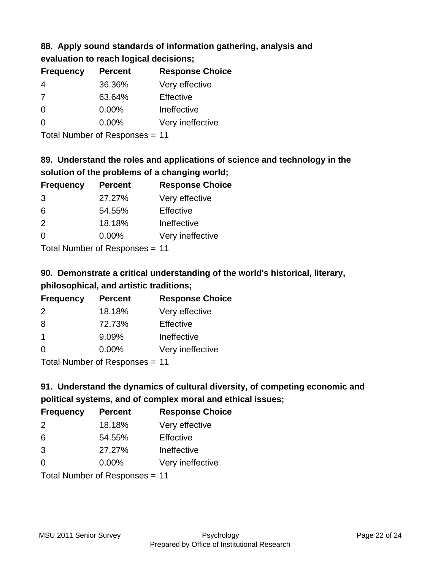# **88. Apply sound standards of information gathering, analysis and evaluation to reach logical decisions;**

| <b>Frequency</b> | <b>Percent</b> | <b>Response Choice</b> |
|------------------|----------------|------------------------|
| 4                | 36.36%         | Very effective         |
| 7                | 63.64%         | Effective              |
| $\Omega$         | $0.00\%$       | Ineffective            |
| O                | $0.00\%$       | Very ineffective       |

Total Number of Responses = 11

# **89. Understand the roles and applications of science and technology in the solution of the problems of a changing world;**

| <b>Frequency</b> | <b>Percent</b>             | <b>Response Choice</b> |
|------------------|----------------------------|------------------------|
| 3                | 27.27%                     | Very effective         |
| 6                | 54.55%                     | Effective              |
| 2                | 18.18%                     | Ineffective            |
| $\Omega$         | 0.00%                      | Very ineffective       |
|                  | Tatal Number of Desperance |                        |

Total Number of Responses = 11

# **90. Demonstrate a critical understanding of the world's historical, literary, philosophical, and artistic traditions;**

| <b>Frequency</b> | <b>Percent</b> | <b>Response Choice</b> |
|------------------|----------------|------------------------|
| 2                | 18.18%         | Very effective         |
| 8                | 72.73%         | Effective              |
| $\overline{1}$   | 9.09%          | Ineffective            |
| $\Omega$         | 0.00%          | Very ineffective       |
|                  |                |                        |

Total Number of Responses = 11

# **91. Understand the dynamics of cultural diversity, of competing economic and political systems, and of complex moral and ethical issues;**

| <b>Frequency</b> | <b>Percent</b>                 | <b>Response Choice</b> |
|------------------|--------------------------------|------------------------|
| 2                | 18.18%                         | Very effective         |
| 6                | 54.55%                         | Effective              |
| 3                | 27.27%                         | Ineffective            |
| $\Omega$         | $0.00\%$                       | Very ineffective       |
|                  | Total Number of Responses = 11 |                        |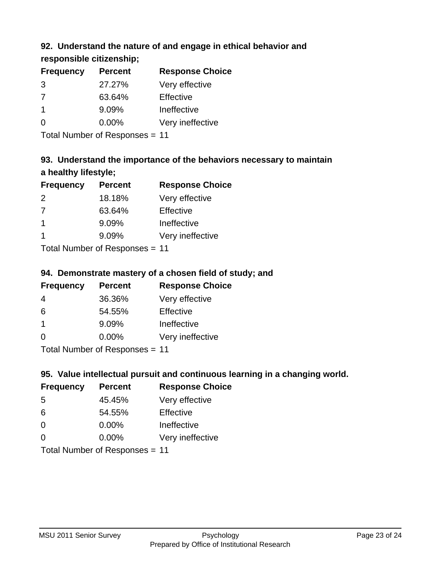### **92. Understand the nature of and engage in ethical behavior and**

**responsible citizenship;**

| <b>Percent</b> | <b>Response Choice</b> |
|----------------|------------------------|
| 27.27%         | Very effective         |
| 63.64%         | Effective              |
| 9.09%          | Ineffective            |
| $0.00\%$       | Very ineffective       |
|                |                        |

Total Number of Responses = 11

# **93. Understand the importance of the behaviors necessary to maintain a healthy lifestyle;**

| <b>Frequency</b>        | <b>Percent</b>                 | <b>Response Choice</b> |
|-------------------------|--------------------------------|------------------------|
| 2                       | 18.18%                         | Very effective         |
| 7                       | 63.64%                         | Effective              |
| $\overline{\mathbf{1}}$ | 9.09%                          | Ineffective            |
|                         | 9.09%                          | Very ineffective       |
|                         | Tatal Manufacture Construction |                        |

Total Number of Responses = 11

### **94. Demonstrate mastery of a chosen field of study; and**

| <b>Frequency</b> | <b>Percent</b> | <b>Response Choice</b> |
|------------------|----------------|------------------------|
| 4                | 36.36%         | Very effective         |
| 6                | 54.55%         | Effective              |
|                  | 9.09%          | Ineffective            |
| $\Omega$         | 0.00%          | Very ineffective       |
|                  |                |                        |

Total Number of Responses = 11

### **95. Value intellectual pursuit and continuous learning in a changing world.**

| <b>Frequency</b>          | <b>Percent</b> | <b>Response Choice</b> |
|---------------------------|----------------|------------------------|
| -5                        | 45.45%         | Very effective         |
| 6                         | 54.55%         | Effective              |
| $\Omega$                  | 0.00%          | Ineffective            |
| $\Omega$                  | 0.00%          | Very ineffective       |
| Total Number of Deepersee |                |                        |